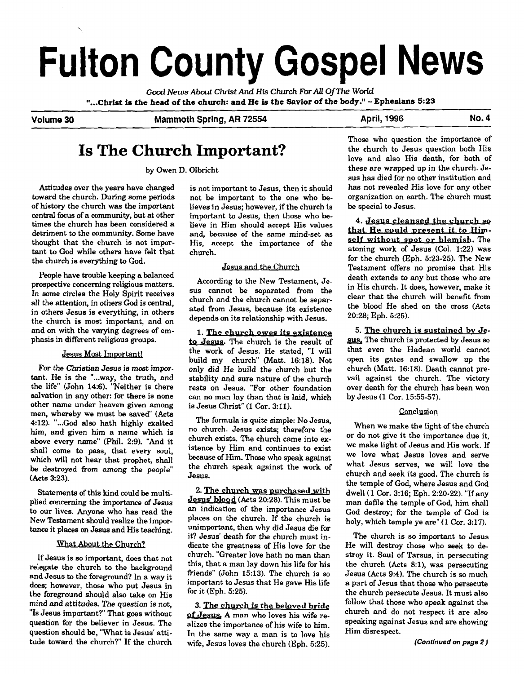# **Fulton County Gospel News**

Good *News About Christ* **And His** *Church For* **All OfThe** *World*  **"...Christ is the head of the church: and He is the Savior of the body."** - **Ephesians <sup>523</sup>**

Volume 30 **Mammoth Spring, AR 72554** April, 1996 Mo. 4

# **Is The Church Important?**

by Owen D. Olbricht

Attitudes over the years have changed toward the church. During some periods of history the church was the important central focus of a **community,** but at other times the church has been considered a detriment to the community. Some have thought that the church is not important to God while others have felt that the church is everything to God.

People have trouble keeping a balanced prospective concerning religious matters. In some circles the Holy Spirit receives all the attention, in others God is central, in others Jesus is everything, in others the church is most important, and on and on with the varying degrees of emphasis in different religious groups.

# Jesus Most Important!

For the **Christian** Jesus is mast important. He is the "...way, the truth, and the life" (John 14:6). "Neither is there salvation in any other: for there is none other name under heaven given among men, whereby we must be saved" (Acts 4:12). "...God also hath highly exalted him, and given him a name which is above every name" (Phil. **2:9).** "And it shall come to pass, that every soul, which will not hear that prophet, shall be destroyed from among the people" (Acts 3:23).

Statements of this kind could be multiplied concerning the importance of Jesus to our lives. Anyone who has read the New Testament should realize the impor**tance** it places on Jesus and His teaching.

# What About the Church?

If Jesus is so important, does that not relegate the church to the background and Jesus to the foreground? In a way it does; however, those who put Jesus in the foreground should also take on His mind and attitudes. The question is not, "Is Jesus important?" That goes without question for the believer in Jesus. The question should be, 'What is Jesus' attitude toward the church?" If the church

is not important to Jesus, then it should not be important to the one who believes in Jesus; however, if the church is important **to** Jesus, then those who believe in Him should accept His values and. because of the same mind-set as His, accept the importance of the church.

# Jesus and the Church

According to the New Testament, Jesus cannot be separated from the church and the church cannot be separated from Jesus, because its existence depends on its relationship with Jesus.

**1. The church owes its existence to** Jesus. The church is the result of the work of Jesus. He stated, "I will build my church" (Matt. 16:18). Not only did He build the church but the stability and sure nature of the church rests on Jesus. "For other foundation can no man lay than that is laid, which is Jesus Christ" (1 Cor. 3:11).

The formula is quite simple: No Jesus, no church. Jesus exists; therefore the church exists. The church came into existence by Him and continues to exist because of Him. Those who speak against the church speak against the work of Jesus.

2. The church was purchased with **Jesus'** blopd (Acts 20:28). This must be an indication of the importance Jesus places on the church. If the church is unimportant, then why did Jesus die for it? Jesus' death for the church must indicate the greatness of His love for the church. "Greater love hath no man than this, that a man lay down his life for his friends" (John 15:13). The church is **so**  important to Jesus that He gave His life for it (Eph. 5:25).

3. **The** church is the **beloved bride**  of Jesus. A man who loves his wife realizes the importance of his wife to him. In the same way a man is to love his wife, Jesus loves the church (Eph. 5:25). Those who question the importance of the church to Jesus question both His love and also His death, for both of these are wrapped up in the church. Jesus has died for no other institution and has not revealed His love for any other organization on earth. The church must be special to Jesus.

**4. Jesus cleansed the church so** that He could present it to Himself without spot or blemish. The atoning work of Jesus (Col. 1:22) was for the church (Eph. 5:23-25). The New Testament offers no promise that His death extends to any but those who are in His church. It does, however, make it clear that the church will benefit from the blood He shed on the cross (Acts 20:28; Eph. 5:25).

5. The church is sustained by Je**sus.** The church is protected by Jesus so that even the Hadean world cannot open its gates and swallow up the church (Matt. 16:18). Death cannot prevail against the church. The victorv over death for the church has been won by Jesus (1 Cor. 15:55-57).

# Conclusion

When we make the light of the church or do not give it the importance due it, we make light of Jesus and His work. If we love what Jesus loves and serve what Jesus serves, we will love the church and seek its good. The church is the temple of God, where Jesus and God dwell (1 Cor. 3:16; Eph. 2:20-22). "If any man defile the temple of God, him shall God destroy; for the temple of God is holy, which temple ye are" (1 Cor. 3:17).

The church is so important to Jesus He will destroy those who seek to destroy it. Saul of Tarsus, in persecuting the church (Acts **8:1),** was persecuting Jesus (Acts 9:4). The church is so much a part of Jesus that those who persecute the church persecute Jesus. It must also follow that those who speak against the church and do not respect it are also speaking against Jesus and are showing Him disrespect.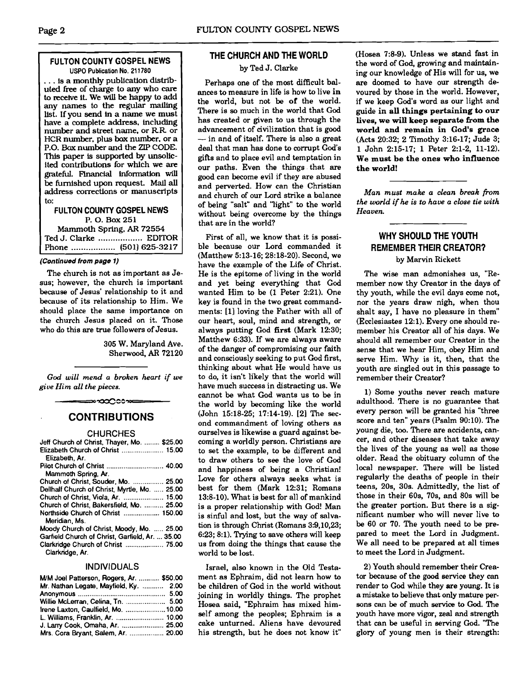# **FULTON COUNTY GOSPEL NEWS USPO Publication No. 21 1780**

... is a monthly publication distributed free of charge to any who care to recehre it. We will be happy to add any names to the regular mailing list. If you send in a name we must have a complete address. including number and street name. or RR or HCR number, plus bax number. or a P.O. Box number and the ZIP CODE. This paper is supported by unsolicited contributions for which we are grateful. Financial information will be furnished upon request. Mail **all**  address corrections or manuscripts to:

# **FLILTON COUNTY GOSPEL NEWS**  P. **0.** Box **<sup>251</sup>**

Mammoth Spring, **AR 72554**  Ted J. Clarke .................. EDITOR Phone .................. **(501) 625-3217** 

## **(Continued from page 1)**

The church is not as important as Jesus; however, the church is important because of Jesus' relationship to it and because of its relationship to Him. We should place the same importance on the church Jesus placed on it. Those who do this are true followers of Jesus.

> 305 W. Maryland Ave. Sherwood, **AR** 72120

*God will* **mend** *a broken heart if we give Him a11 the pieces.* 

≈∞∞೧೦೦≫

# **CONTRIBUTIONS**

### **CHURCHES**

| Jeff Church of Christ, Thayer, Mo.  \$25.00           |  |
|-------------------------------------------------------|--|
| Elizabeth Church of Christ  15.00                     |  |
| Elizabeth, Ar.                                        |  |
|                                                       |  |
| Mammoth Spring, Ar.                                   |  |
| Church of Christ, Souder, Mo.  25.00                  |  |
| Dellhalf Church of Christ, Myrtle, Mo.  25.00         |  |
| Church of Christ, Viola, Ar.  15.00                   |  |
| Church of Christ, Bakersfield, Mo.  25.00             |  |
| Northside Church of Christ  150.00<br>Meridian, Ms.   |  |
| Moody Church of Christ, Moody, Mo.  25.00             |  |
| Garfield Church of Christ, Garfield, Ar.  35.00       |  |
| Clarkridge Church of Christ  75.00<br>Clarkridge, Ar. |  |

# **INDIVIDUALS**

| M/M Joel Patterson, Rogers, Ar.  \$50.00 |  |
|------------------------------------------|--|
| Mr. Nathan Legate, Mayfield, Ky.  2.00   |  |
|                                          |  |
| Willie McLerran, Celina, Tn.  5.00       |  |
| Irene Laxton, Caulfield, Mo.  10.00      |  |
| L. Williams, Franklin, Ar.  10.00        |  |
| J. Larry Cook, Omaha, Ar.  25.00         |  |
| Mrs. Cora Bryant, Salem, Ar.  20.00      |  |

# **THE CHURCH AND THE WORLD**

# by Ted J. Clarke

Perhaps one of the most difficult balances to measure in life is how to live **in**  the world, but not be **of** the world. There is so much in the world that God has created or given to us through the advancement of civilization that is good has created or given to us through the<br>advancement of civilization that is good<br> $-$  in and of itself. There is also a great deal that man has done to corrupt God's gifts and to place evil and temptation in our paths. Even the things. that are good can become evil if they are abused and perverted. How can the Christian and church of our Lord strike a balance of being "salt" and 'light" to the world without being overcome by the things that are in the world?

First of all, we know that it is possible because our Lord commanded it (Matthew 5:13-16; 28:18-20). Second, we have the example of the Life of Christ. He is the epitome of living in the world and yet being everything that God wanted Him to be (1 Peter 2:21). One key is found in the two great commandments: [l] loving the Father with all of our heart, soul, mind and strength, or always putting God **first** (Mark 1230; Matthew 6:33). If we are always aware of the danger of compromising bur faith and consciously seeking to put God first, thinking about what He would have us to do, it isn't likely that the world will have much success in distracting us. We cannot be what God wants us to be in the world by becoming like the world (John 15:18-25; 17:14-19). [21 The second commandment of loving others **as**  ourselves is likewise a guard against becoming a worldly person. Christians are to set the example, to be different and to draw others to see the love of God and happiness of being a Christian! Love for others always seeks what is best for them (Mark 12:31; Romans 13:8-10). What is best for all of mankind is a proper relationship with God! Man is sinful and lost, but the way of salvation is through Christ (Romans 3:9,10,23; 6:23; 8:l). Trylng to save others will keep us from doing the things that cause the world to be lost.

Israel, also known in the Old Testament **as** Ephraim, did not learn how to be children of God in the world without joining in worldly things. The prophet Hosea said, "Ephraim has mixed himself among the peoples; Ephraim is a cake unturned. Aliens have devoured his strength, but he does not know it"

(Hosea 7:8-9). Unless we stand fast in the word of God, growing and maintaining our knowledge of His will for us, we are doomed to have our strength devoured by those in the world. However, if we keep God's word as our light and guide **in all things pertaining to our**  lives, we will keep separate from the **world and remain in God's** grace (Acts 20:32; 2 Timothy 3:16-17; Jude 3; 1 John 2:15-17; 1 Peter 2:l-2, 11-12). **We must be the ones who influence the world!** 

*Man must make a clean break fiom the world* **if** *he is to have a close tie with Heaven.* 

# **WHY SHOULD THE YOUTH REMEMBER THEIR CREATOR?**

# by Marvin Rickett

The wise man admonishes us, "Remember now thy Creator in the days of thy youth, while the evil days come not, nor the years draw nigh, when thou shalt say, I have no pleasure in them"  $(Eclesiastes 12:1)$ . Every one should remember his Creator all of his days. We should all remember our Creator in the sense that we hear Him, obey Him and serve Him. Why is it, then, that the youth are singled out in this passage to remember their Creator?

1) Some youths never reach mature adulthood. There is no guarantee that every person will be granted his "three score and ten" years (Psalm 90:lO). The young die, too. There are accidents, cancer, and other diseases that take away the lives of the young as well as those older. Read the obituary column of the local newspaper. There will be listed regularly the deaths of people in their teens, 20s, 30s. Admittedly, the list of those in their 60s. 70s. and 80s will be the greater portion. But there is a significant number who will never live to be 60 or 70. The youth need to be prepared to meet the Lord in Judgment. We all need to be prepared at all times to meet the Lord in Judgment.

2) Youth should remember their Creator because of the good service they can render to God while they are young. It is a mistake to believe that only mature persons can be of much service to **God.** The youth have more vigor, zeal and strength that can be useful in serving God. "The glory of young men is their strength: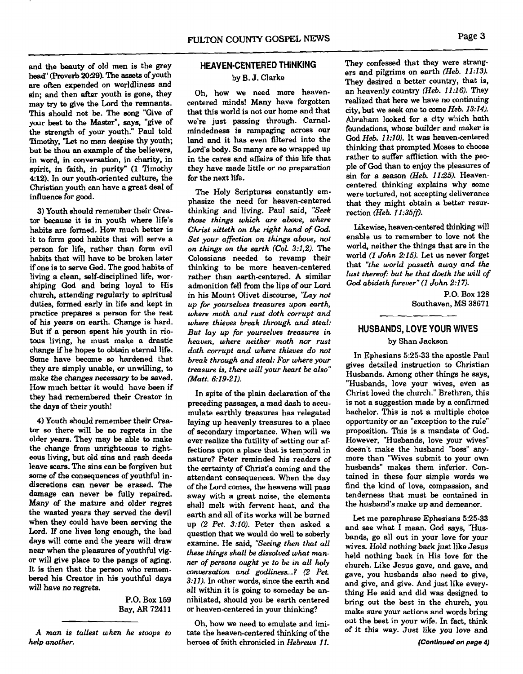and the beauty of old men is the grey head" (Proverb **2039).** The **assets** of youth **are** often expended on worldliness and sin; and then after youth is gone, they may **try to** give the Lord the remnants. This should not be. The song "Give of your best **to** the Master", says, "give of the strength of your youth." Paul told Timothy, "Let no man despise thy youth; but be thou an example of the believers, in word, in conversation, in charity, in spirit, in faith, in purity" (1 Timothy **412).** In our youth-oriented culture, the Christian youth can have a great deal of influenca for good.

**3)** Youth should remember their Creator because it is in youth where life's habits are formed. How much better is it to form good habits that will serve a person for life, rather than form evil habits that will have to be broken later if one is to serve God. The **good** habits of living a clean, self-disciplined life, worshiping God and being loyal to His church, attending regularly to spiritual duties, formed early in life and kept in practice prepares a person for the rest of his years on earth. Change is hard. But if a person spent his youth in riotous living, he must make a drastic change if he hopes to obtain eternal life. Some have become **so** hardened that they are simply unable, or unwilling, to make the changes necessary to be saved. How much better it would have been if they had remembered their Creator in the days of their youth!

4) Youth should remember their Crea**tor** so there will be no regrets in the older years. They may be able to make the change from unrighteous to righteous living, but old sins and rash deeds leave **scars.** The sins can be forgiven but some of the consequences of youthful indiscretions can never be erased. The damage **can** never be fully repaired. Many of the mature and older regret the wasted years they served the devil when they could have been serving the Lord. If one lives long enough, the bad days will come and the years will draw near when the pleasures of youthful vigor will give place to the pangs of aging. It is then that the person who remembered his Creator in his youthful days will have no regrets.

> P.O. Box **159**  Bay, **AR 7241** 1

# **HEAVEN-CENTERED THINKING**

# by B. J. Clarke

Oh, how we need more heavencentered minds! Many have forgotten that this world is not our home and that we're just passing through. Carnalmindedness is rampaging across our land and it has even filtered into the Lord's body. **So** many are so wrapped up in the cares and affairs of this life that they have made little or no preparation for the next life.

The Holy Scriptures constantly emphasize the need for heaven-centered thinking and living. Paul said, *"Seek those things which are above, where Christ sitteth* **on** *the right hand of* God *Set your affection on things above, not on things on the earth (Col. 3:1,2).* The Colossians needed to revamp their thinking to be more heaven-centered rather than earth-centered. A similar admonition fell from the lips of our Lord in his Mount Olivet discourse, *"Lay not up for yourselves treasures upon earth, where moth and rust doth corrupt and where thieves break through and steal: But* **lay** *up for yourselves treasures in heaven, where neither moth nor rust doth corrupt and where thieves do not break through and steal: For where your treusure is, there will your heart be also" (Matt. 6:19-21).* 

In spite of the plain declaration of the preceding passages, a mad dash to accumulate earthly treasures has relegated laying up heavenly treasures to a place of secondary importance. When will we ever realize the futility of setting our affections upon a place that is temporal in nature? Peter reminded his readers of the certainty of Christ's coming and the attendant consequences. When the day of the Lord comes, the heavens will pass away with a great noise, the elements shall melt with fervent heat, and the earth and all of its works will be burned up *(2 Pet. 3:10).* Peter then asked a question that we would do well to soberly examine. He said, *"Seeing then that all these things shall be dissolved what manner of persons ought ye to be in all holy conversation and godliness...? (2 Pet. 3:ll).* In other words, since the earth and all within it is going to someday be annihilated, should you be earth centered or heaven-centered in your thinking?

Oh, how we need to emulate and imitate the heaven-centered thinking of the heroes of faith chronicled in *Hebrews 11.* 

They confessed that they were strangers and pilgrims on earth *(Heb. 11:13).*  They desired a better country, that is, an heavenly country *(Heb. 11:16)*. They realized that here we have no continuing city, but we seek one to come *Heb. 13:14).*  Abraham looked for a city which hath foundations, whose builder and maker is **God** *Heb. 11:lO).* It was heaven-centered thinking that prompted Moses to choose rather to suffer affliction with the people of God than to enjoy the pleasures of sin for a season *(Heb. 11:25).* Heavencentered thinking explains why some were tortured, not accepting deliverance that they might obtain a better resurrection *Neb. I1:35fn.* 

Likewise, heaven-centered thinking will enable us to remember to love not the world, neither the things that are in the world *(1 John 2:15).* Let us never forget that *"the* **world** *passeth away and the lust thereof: but he that doeth the will of God abideth forever" (1 John 2:17).* 

> **P.O.** Box **128**  Southaven, **MS 38671**

# **HUSBANDS, LOVE YOUR WIVES**

# by Shan Jackson

In Ephesians **5:25-33** the apostle Paul gives detailed instruction to Christian Husbands. Among other things he says, "Husbands, love your wives, even as Christ loved the church." Brethren, this is not a suggestion made by a confirmed bachelor. This is not a multiple choice opportunity or an "exception to the rule" proposition. This is a mandate of God. However, "Husbands, love your wives'' doesn't make the husband 'boss" anymore than 'Wives submit to your own husbands" makes them inferior. Contained in these four simple words we find the kind of love, compassion, and tenderness that must be contained in the husband's make up and demeanor.

Let me paraphrase Ephesians **5:25-33**  and see what I mean. **God** says, "Husbands, go all out in your love for your wives. Hold nothing back just like Jesus held nothing back in His love for the church. Like Jesus gave, and gave, and gave, you husbands also need to give, and give, and give. And just like everything He said and did was designed to bring out the best in the church, you make sure your actions and words bring out the best in your wife. In fact, think of it this way. Just like you love and

*A man is tallest when he stoops to heb another.*